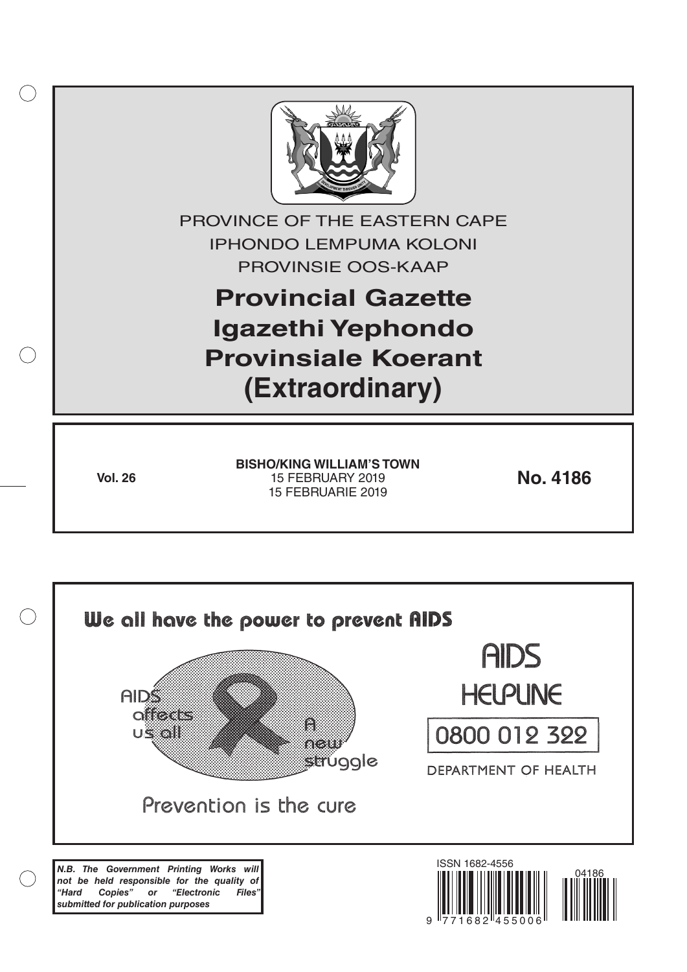

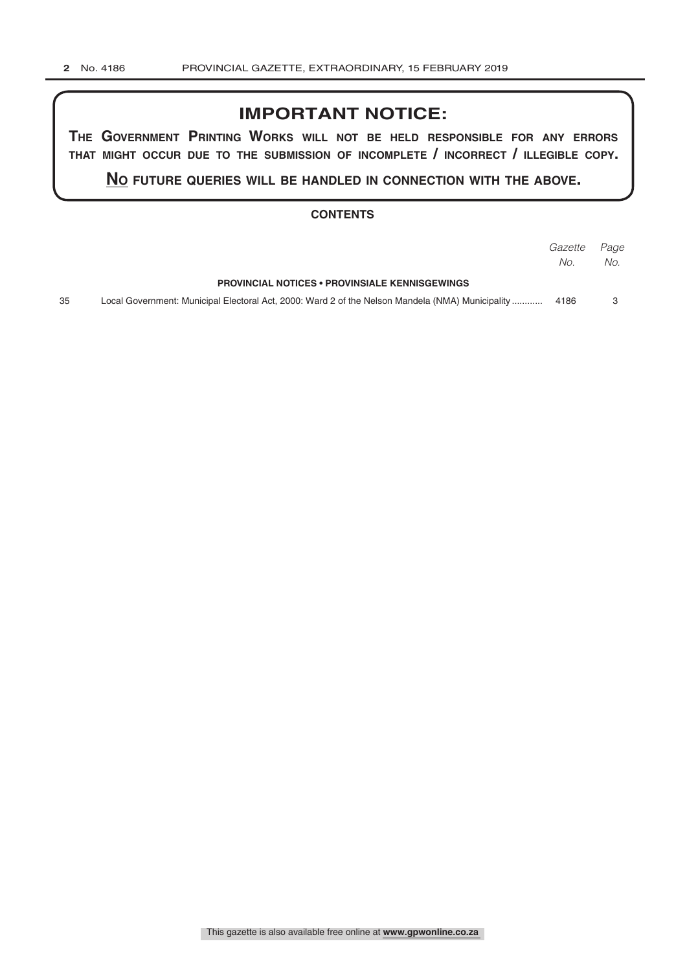# **IMPORTANT NOTICE:**

**The GovernmenT PrinTinG Works Will noT be held resPonsible for any errors ThaT miGhT occur due To The submission of incomPleTe / incorrecT / illeGible coPy.**

**no fuTure queries Will be handled in connecTion WiTh The above.**

#### **CONTENTS**

|                                                       |                                                                                                  | Gazette Page |     |
|-------------------------------------------------------|--------------------------------------------------------------------------------------------------|--------------|-----|
|                                                       |                                                                                                  | No.          | No. |
| <b>PROVINCIAL NOTICES • PROVINSIALE KENNISGEWINGS</b> |                                                                                                  |              |     |
| 35                                                    | Local Government: Municipal Electoral Act, 2000: Ward 2 of the Nelson Mandela (NMA) Municipality | 4186         |     |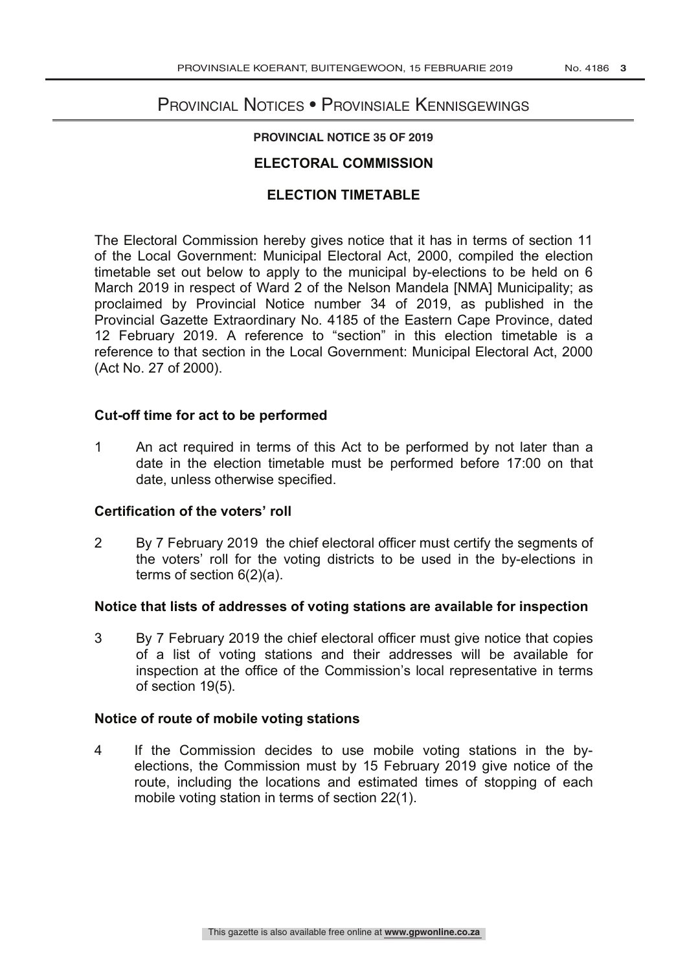# Provincial Notices • Provinsiale Kennisgewings

# **PROVINCIAL NOTICE 35 OF 2019**

## **ELECTORAL COMMISSION**

## **ELECTION TIMETABLE**

The Electoral Commission hereby gives notice that it has in terms of section 11 of the Local Government: Municipal Electoral Act, 2000, compiled the election timetable set out below to apply to the municipal by-elections to be held on 6 March 2019 in respect of Ward 2 of the Nelson Mandela [NMA] Municipality; as proclaimed by Provincial Notice number 34 of 2019, as published in the Provincial Gazette Extraordinary No. 4185 of the Eastern Cape Province, dated 12 February 2019. A reference to "section" in this election timetable is a reference to that section in the Local Government: Municipal Electoral Act, 2000 (Act No. 27 of 2000).

## **Cut-off time for act to be performed**

1 An act required in terms of this Act to be performed by not later than a date in the election timetable must be performed before 17:00 on that date, unless otherwise specified.

## **Certification of the voters' roll**

2 By 7 February 2019 the chief electoral officer must certify the segments of the voters' roll for the voting districts to be used in the by-elections in terms of section 6(2)(a).

#### **Notice that lists of addresses of voting stations are available for inspection**

3 By 7 February 2019 the chief electoral officer must give notice that copies of a list of voting stations and their addresses will be available for inspection at the office of the Commission's local representative in terms of section 19(5).

#### **Notice of route of mobile voting stations**

4 If the Commission decides to use mobile voting stations in the byelections, the Commission must by 15 February 2019 give notice of the route, including the locations and estimated times of stopping of each mobile voting station in terms of section 22(1).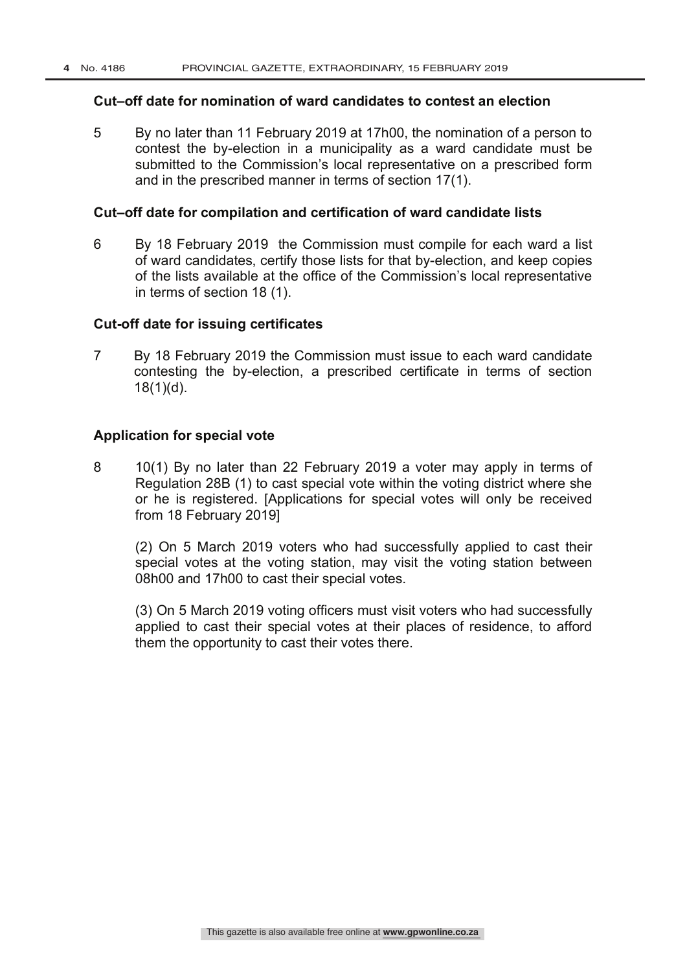### **Cut–off date for nomination of ward candidates to contest an election**

5 By no later than 11 February 2019 at 17h00, the nomination of a person to contest the by-election in a municipality as a ward candidate must be submitted to the Commission's local representative on a prescribed form and in the prescribed manner in terms of section 17(1).

### **Cut–off date for compilation and certification of ward candidate lists**

6 By 18 February 2019 the Commission must compile for each ward a list of ward candidates, certify those lists for that by-election, and keep copies of the lists available at the office of the Commission's local representative in terms of section 18 (1).

## **Cut-off date for issuing certificates**

7 By 18 February 2019 the Commission must issue to each ward candidate contesting the by-election, a prescribed certificate in terms of section 18(1)(d).

## **Application for special vote**

8 10(1) By no later than 22 February 2019 a voter may apply in terms of Regulation 28B (1) to cast special vote within the voting district where she or he is registered. [Applications for special votes will only be received from 18 February 2019]

(2) On 5 March 2019 voters who had successfully applied to cast their special votes at the voting station, may visit the voting station between 08h00 and 17h00 to cast their special votes.

(3) On 5 March 2019 voting officers must visit voters who had successfully applied to cast their special votes at their places of residence, to afford them the opportunity to cast their votes there.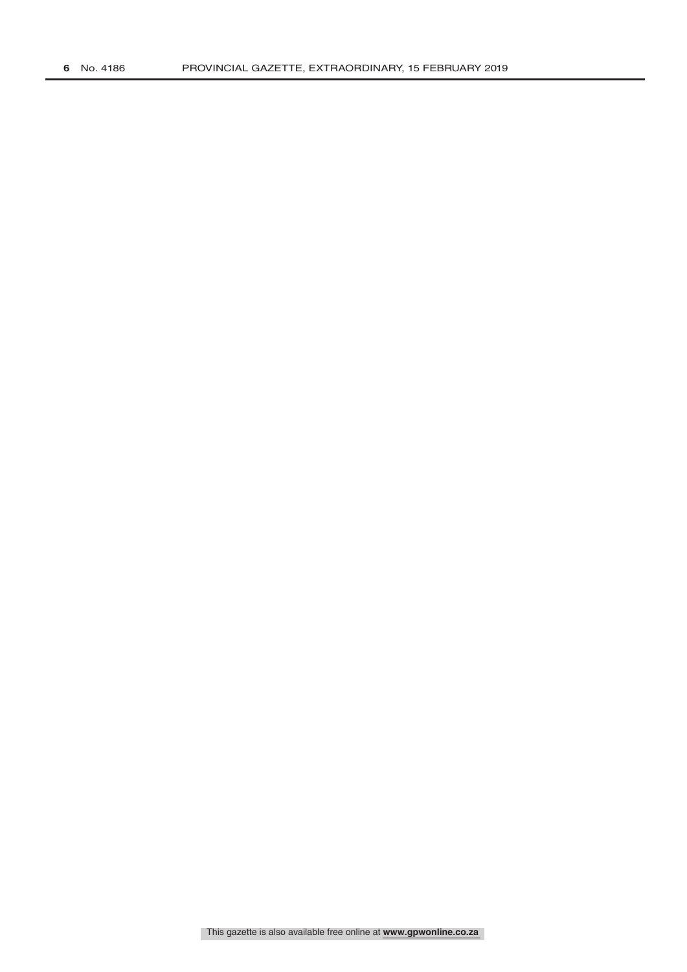This gazette is also available free online at **www.gpwonline.co.za**